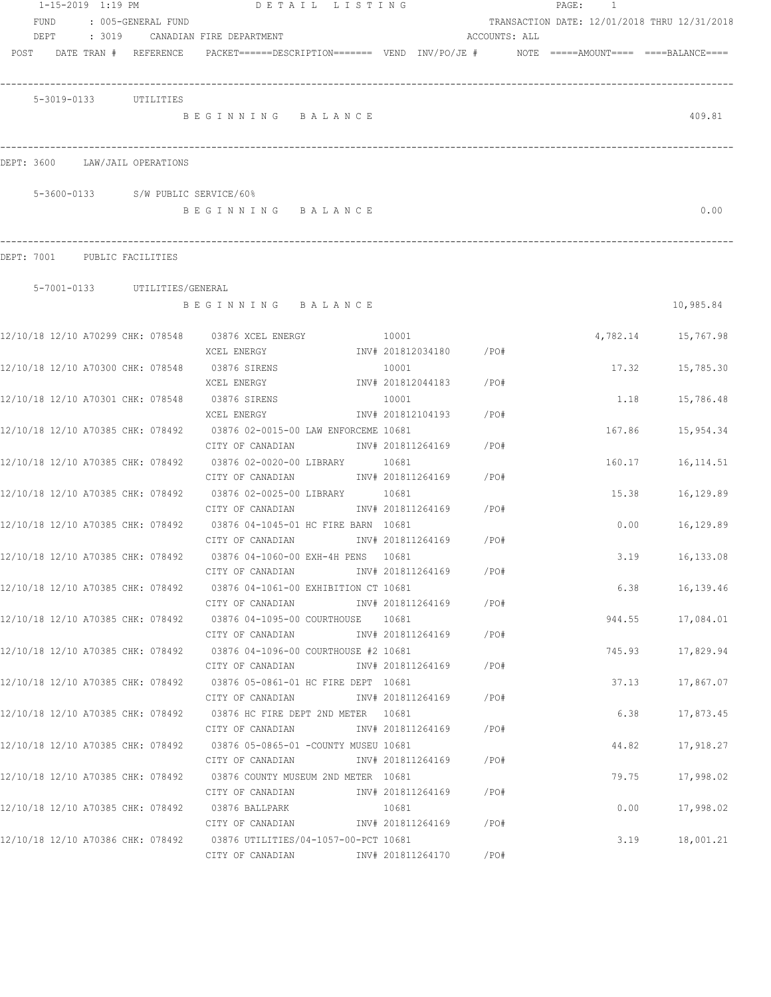| $1 - 15 - 2019$ $1:19$ PM                                              | DETAIL LISTING                                                                                     |       |                            |               | PAGE:<br>$\overline{1}$                      |            |
|------------------------------------------------------------------------|----------------------------------------------------------------------------------------------------|-------|----------------------------|---------------|----------------------------------------------|------------|
| <b>FUND</b><br>: 005-GENERAL FUND                                      |                                                                                                    |       |                            |               | TRANSACTION DATE: 12/01/2018 THRU 12/31/2018 |            |
| DEPT<br>: 3019                                                         | CANADIAN FIRE DEPARTMENT                                                                           |       |                            | ACCOUNTS: ALL |                                              |            |
| POST<br>DATE TRAN # REFERENCE                                          | PACKET======DESCRIPTION========  VEND  INV/PO/JE #          NOTE  =====AMOUNT====  ====BALANCE==== |       |                            |               |                                              |            |
|                                                                        |                                                                                                    |       |                            |               |                                              |            |
| 5-3019-0133 UTILITIES                                                  | BEGINNING BALANCE                                                                                  |       |                            |               |                                              | 409.81     |
|                                                                        |                                                                                                    |       |                            |               |                                              |            |
| DEPT: 3600<br>LAW/JAIL OPERATIONS                                      |                                                                                                    |       |                            |               |                                              |            |
| 5-3600-0133 S/W PUBLIC SERVICE/60%                                     |                                                                                                    |       |                            |               |                                              |            |
|                                                                        | BEGINNING BALANCE                                                                                  |       |                            |               |                                              | 0.00       |
| DEPT: 7001<br>PUBLIC FACILITIES                                        |                                                                                                    |       |                            |               |                                              |            |
| 5-7001-0133 UTILITIES/GENERAL                                          |                                                                                                    |       |                            |               |                                              |            |
|                                                                        | BEGINNING BALANCE                                                                                  |       |                            |               |                                              | 10,985.84  |
| 12/10/18 12/10 A70299 CHK: 078548 03876 XCEL ENERGY                    |                                                                                                    | 10001 |                            |               | 4,782.14                                     | 15,767.98  |
|                                                                        | XCEL ENERGY                                                                                        |       | INV# 201812034180 /PO#     |               |                                              |            |
| 12/10/18 12/10 A70300 CHK: 078548                                      | 03876 SIRENS                                                                                       |       | 10001                      |               | 17.32                                        | 15,785.30  |
|                                                                        | XCEL ENERGY                                                                                        |       | INV# 201812044183          | /PO#          |                                              |            |
| 12/10/18 12/10 A70301 CHK: 078548                                      | 03876 SIRENS<br>XCEL ENERGY                                                                        |       | 10001<br>INV# 201812104193 | /PO#          | 1.18                                         | 15,786.48  |
| 12/10/18 12/10 A70385 CHK: 078492                                      | 03876 02-0015-00 LAW ENFORCEME 10681                                                               |       |                            |               | 167.86                                       | 15,954.34  |
|                                                                        | CITY OF CANADIAN                                                                                   |       | INV# 201811264169          | /PO#          |                                              |            |
| 12/10/18 12/10 A70385 CHK: 078492                                      | 03876 02-0020-00 LIBRARY                                                                           |       | 10681                      |               | 160.17                                       | 16, 114.51 |
|                                                                        | CITY OF CANADIAN                                                                                   |       | INV# 201811264169          | /PO#          |                                              |            |
| 12/10/18 12/10 A70385 CHK: 078492                                      | 03876 02-0025-00 LIBRARY                                                                           |       | 10681                      |               | 15.38                                        | 16,129.89  |
|                                                                        | CITY OF CANADIAN<br>03876 04-1045-01 HC FIRE BARN 10681                                            |       | INV# 201811264169          | /PO#          |                                              |            |
| 12/10/18 12/10 A70385 CHK: 078492                                      | CITY OF CANADIAN                                                                                   |       | INV# 201811264169          | /PO#          | 0.00                                         | 16,129.89  |
| 12/10/18 12/10 A70385 CHK: 078492                                      | 03876 04-1060-00 EXH-4H PENS 10681                                                                 |       |                            |               | 3.19                                         | 16,133.08  |
|                                                                        | CITY OF CANADIAN                                                                                   |       | INV# 201811264169          | /PO#          |                                              |            |
| 12/10/18 12/10 A70385 CHK: 078492 03876 04-1061-00 EXHIBITION CT 10681 |                                                                                                    |       |                            |               | 6.38                                         | 16,139.46  |
|                                                                        | CITY OF CANADIAN                                                                                   |       | INV# 201811264169          | /PO#          |                                              |            |
| 12/10/18 12/10 A70385 CHK: 078492                                      | 03876 04-1095-00 COURTHOUSE                                                                        | 10681 |                            |               | 944.55                                       | 17,084.01  |
| 12/10/18 12/10 A70385 CHK: 078492                                      | CITY OF CANADIAN<br>03876 04-1096-00 COURTHOUSE #2 10681                                           |       | INV# 201811264169          | /PO#          | 745.93                                       | 17,829.94  |
|                                                                        | CITY OF CANADIAN                                                                                   |       | INV# 201811264169          | /PO#          |                                              |            |
| 12/10/18 12/10 A70385 CHK: 078492                                      | 03876 05-0861-01 HC FIRE DEPT 10681                                                                |       |                            |               | 37.13                                        | 17,867.07  |
|                                                                        | CITY OF CANADIAN                                                                                   |       | INV# 201811264169          | /PO#          |                                              |            |
| 12/10/18 12/10 A70385 CHK: 078492                                      | 03876 HC FIRE DEPT 2ND METER 10681                                                                 |       |                            |               | 6.38                                         | 17,873.45  |
|                                                                        | CITY OF CANADIAN                                                                                   |       | INV# 201811264169          | /PO#          |                                              |            |
| 12/10/18 12/10 A70385 CHK: 078492                                      | 03876 05-0865-01 -COUNTY MUSEU 10681<br>CITY OF CANADIAN                                           |       | INV# 201811264169          | /PO#          | 44.82                                        | 17,918.27  |
| 12/10/18 12/10 A70385 CHK: 078492                                      | 03876 COUNTY MUSEUM 2ND METER 10681                                                                |       |                            |               | 79.75                                        | 17,998.02  |
|                                                                        | CITY OF CANADIAN                                                                                   |       | INV# 201811264169          | /PO#          |                                              |            |
| 12/10/18 12/10 A70385 CHK: 078492                                      | 03876 BALLPARK                                                                                     |       | 10681                      |               | 0.00                                         | 17,998.02  |
|                                                                        | CITY OF CANADIAN                                                                                   |       | INV# 201811264169          | /PO#          |                                              |            |
| 12/10/18 12/10 A70386 CHK: 078492                                      | 03876 UTILITIES/04-1057-00-PCT 10681                                                               |       |                            |               | 3.19                                         | 18,001.21  |
|                                                                        | CITY OF CANADIAN                                                                                   |       | INV# 201811264170          | /PO#          |                                              |            |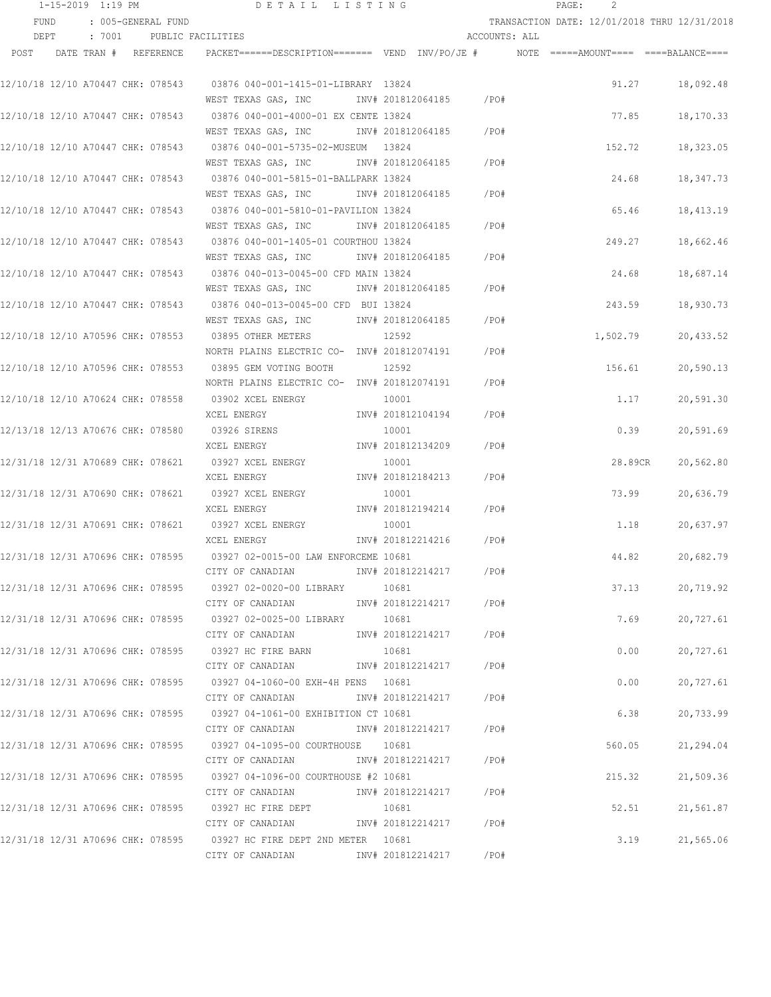|      | 1-15-2019 1:19 PM |                                   | DETAIL LISTING                                                                          |                        |               | PAGE:<br>2 |          |                                              |
|------|-------------------|-----------------------------------|-----------------------------------------------------------------------------------------|------------------------|---------------|------------|----------|----------------------------------------------|
| FUND |                   | : 005-GENERAL FUND                |                                                                                         |                        |               |            |          | TRANSACTION DATE: 12/01/2018 THRU 12/31/2018 |
| DEPT |                   | : 7001 PUBLIC FACILITIES          |                                                                                         |                        | ACCOUNTS: ALL |            |          |                                              |
| POST |                   | DATE TRAN # REFERENCE             | PACKET======DESCRIPTION======= VEND INV/PO/JE #    NOTE =====AMOUNT==== ====BALANCE==== |                        |               |            |          |                                              |
|      |                   |                                   | 12/10/18 12/10 A70447 CHK: 078543 03876 040-001-1415-01-LIBRARY 13824                   |                        |               |            | 91.27    | 18,092.48                                    |
|      |                   |                                   | WEST TEXAS GAS, INC                                                                     | INV# 201812064185 /PO# |               |            |          |                                              |
|      |                   |                                   | 12/10/18 12/10 A70447 CHK: 078543 03876 040-001-4000-01 EX CENTE 13824                  |                        |               |            | 77.85    | 18,170.33                                    |
|      |                   |                                   | WEST TEXAS GAS, INC                                                                     | INV# 201812064185      | $/$ PO#       |            |          |                                              |
|      |                   |                                   | 12/10/18 12/10 A70447 CHK: 078543 03876 040-001-5735-02-MUSEUM 13824                    |                        |               |            | 152.72   | 18,323.05                                    |
|      |                   |                                   | WEST TEXAS GAS, INC MONTH 201812064185                                                  |                        | /PO#          |            |          |                                              |
|      |                   |                                   | 12/10/18 12/10 A70447 CHK: 078543 03876 040-001-5815-01-BALLPARK 13824                  |                        |               |            | 24.68    | 18,347.73                                    |
|      |                   |                                   | WEST TEXAS GAS, INC METALL 201812064185                                                 |                        | /PO#          |            |          |                                              |
|      |                   |                                   | 12/10/18 12/10 A70447 CHK: 078543 03876 040-001-5810-01-PAVILION 13824                  |                        |               |            | 65.46    | 18,413.19                                    |
|      |                   |                                   | WEST TEXAS GAS, INC MONTH 201812064185                                                  |                        | /PO#          |            |          |                                              |
|      |                   |                                   | 12/10/18 12/10 A70447 CHK: 078543 03876 040-001-1405-01 COURTHOU 13824                  |                        |               |            | 249.27   | 18,662.46                                    |
|      |                   |                                   | WEST TEXAS GAS, INC MOTH 201812064185                                                   |                        | /PO#          |            |          |                                              |
|      |                   |                                   | 12/10/18 12/10 A70447 CHK: 078543 03876 040-013-0045-00 CFD MAIN 13824                  |                        |               |            | 24.68    | 18,687.14                                    |
|      |                   |                                   | WEST TEXAS GAS, INC MONTH 201812064185                                                  |                        | /PO#          |            |          |                                              |
|      |                   |                                   | 12/10/18 12/10 A70447 CHK: 078543 03876 040-013-0045-00 CFD BUI 13824                   |                        |               |            | 243.59   | 18,930.73                                    |
|      |                   |                                   | WEST TEXAS GAS, INC MONTH 201812064185                                                  |                        | $/$ PO#       |            |          |                                              |
|      |                   |                                   | 12/10/18 12/10 A70596 CHK: 078553 03895 OTHER METERS                                    | 12592                  |               |            | 1,502.79 | 20,433.52                                    |
|      |                   |                                   | NORTH PLAINS ELECTRIC CO- INV# 201812074191                                             |                        | /PO#          |            |          |                                              |
|      |                   | 12/10/18 12/10 A70596 CHK: 078553 | 03895 GEM VOTING BOOTH                                                                  | 12592                  |               |            | 156.61   | 20,590.13                                    |
|      |                   |                                   | NORTH PLAINS ELECTRIC CO- INV# 201812074191                                             |                        | /PO#          |            |          |                                              |
|      |                   | 12/10/18 12/10 A70624 CHK: 078558 | 03902 XCEL ENERGY                                                                       | 10001                  |               |            | 1.17     | 20,591.30                                    |
|      |                   |                                   | XCEL ENERGY                                                                             | INV# 201812104194      | /PO#          |            |          |                                              |
|      |                   |                                   | 12/13/18 12/13 A70676 CHK: 078580 03926 SIRENS                                          | 10001                  |               |            | 0.39     | 20,591.69                                    |
|      |                   |                                   | XCEL ENERGY                                                                             | INV# 201812134209      | /PO#          |            |          |                                              |
|      |                   |                                   | 12/31/18 12/31 A70689 CHK: 078621 03927 XCEL ENERGY                                     | 10001                  |               |            | 28.89CR  | 20,562.80                                    |
|      |                   |                                   | XCEL ENERGY                                                                             | INV# 201812184213      | /PO#          |            |          |                                              |
|      |                   |                                   | 12/31/18 12/31 A70690 CHK: 078621 03927 XCEL ENERGY                                     | 10001                  |               |            | 73.99    | 20,636.79                                    |
|      |                   |                                   | XCEL ENERGY                                                                             | INV# 201812194214      | /PO#          |            |          |                                              |
|      |                   |                                   | 12/31/18 12/31 A70691 CHK: 078621 03927 XCEL ENERGY                                     | 10001                  |               |            | 1.18     | 20,637.97                                    |
|      |                   |                                   | XCEL ENERGY                                                                             | INV# 201812214216      | $/$ PO#       |            |          |                                              |
|      |                   |                                   | 12/31/18 12/31 A70696 CHK: 078595 03927 02-0015-00 LAW ENFORCEME 10681                  |                        |               |            | 44.82    | 20,682.79                                    |
|      |                   |                                   | CITY OF CANADIAN                                                                        | INV# 201812214217      | /PO#          |            |          |                                              |
|      |                   |                                   | 12/31/18 12/31 A70696 CHK: 078595 03927 02-0020-00 LIBRARY                              | 10681                  |               |            | 37.13    | 20,719.92                                    |
|      |                   |                                   | CITY OF CANADIAN                                                                        | INV# 201812214217      | /PO#          |            |          |                                              |
|      |                   |                                   |                                                                                         | 10681                  |               |            | 7.69     | 20,727.61                                    |
|      |                   |                                   | CITY OF CANADIAN                                                                        | INV# 201812214217      | /PO#          |            |          |                                              |
|      |                   |                                   | 12/31/18 12/31 A70696 CHK: 078595 03927 HC FIRE BARN                                    | 10681                  |               |            | 0.00     | 20,727.61                                    |
|      |                   |                                   | CITY OF CANADIAN                                                                        | INV# 201812214217      | /PO#          |            |          |                                              |
|      |                   |                                   | 12/31/18 12/31 A70696 CHK: 078595 03927 04-1060-00 EXH-4H PENS 10681                    |                        |               |            | 0.00     | 20,727.61                                    |
|      |                   |                                   | CITY OF CANADIAN                                                                        | INV# 201812214217      | / PO#         |            |          |                                              |
|      |                   |                                   | 12/31/18 12/31 A70696 CHK: 078595 03927 04-1061-00 EXHIBITION CT 10681                  |                        |               |            | 6.38     | 20,733.99                                    |
|      |                   |                                   | CITY OF CANADIAN                                                                        | INV# 201812214217      | /PO#          |            |          |                                              |
|      |                   |                                   | 12/31/18 12/31 A70696 CHK: 078595 03927 04-1095-00 COURTHOUSE 10681                     |                        |               |            | 560.05   | 21,294.04                                    |
|      |                   |                                   | CITY OF CANADIAN                                                                        | INV# 201812214217      | /PO#          |            |          |                                              |
|      |                   |                                   | 12/31/18 12/31 A70696 CHK: 078595 03927 04-1096-00 COURTHOUSE #2 10681                  |                        |               |            | 215.32   | 21,509.36                                    |
|      |                   |                                   | CITY OF CANADIAN                                                                        | INV# 201812214217      | /PO#          |            |          |                                              |
|      |                   |                                   | 12/31/18 12/31 A70696 CHK: 078595 03927 HC FIRE DEPT                                    | 10681                  |               |            | 52.51    | 21,561.87                                    |
|      |                   |                                   | CITY OF CANADIAN 1NV# 201812214217                                                      |                        | /PO#          |            |          |                                              |
|      |                   |                                   | 12/31/18 12/31 A70696 CHK: 078595 03927 HC FIRE DEPT 2ND METER 10681                    |                        |               |            | 3.19     | 21,565.06                                    |
|      |                   |                                   | CITY OF CANADIAN                                                                        | INV# 201812214217      | $/$ PO#       |            |          |                                              |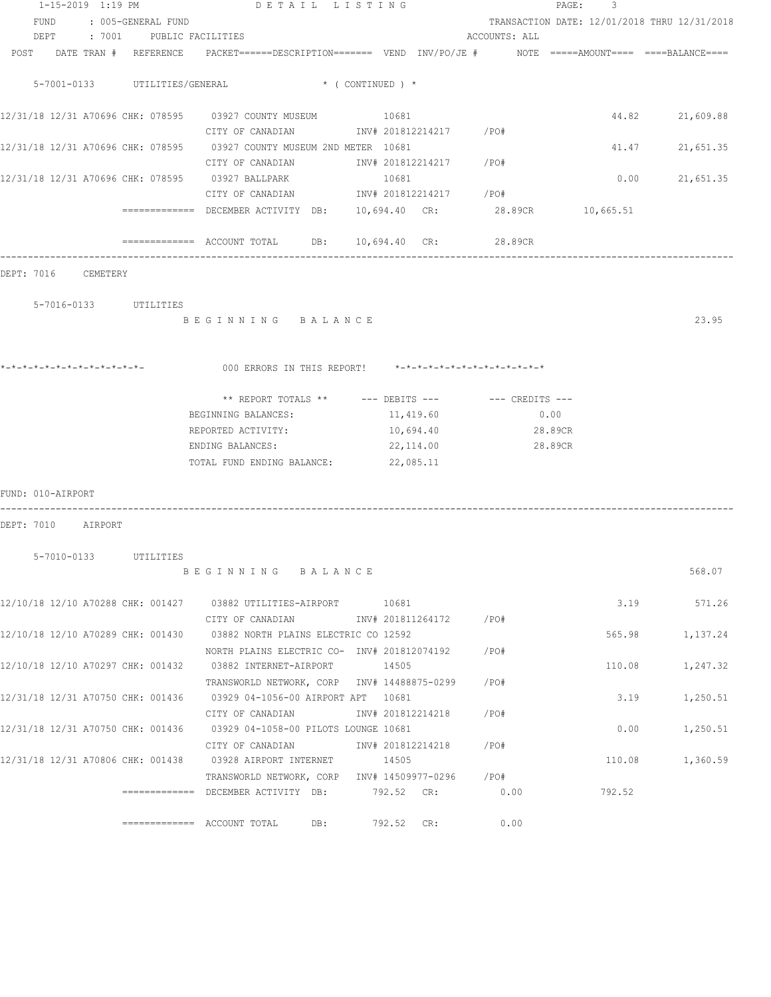|                               | DETAIL LISTING                                                                                    |                         |               | PAGE: 3 |                                              |
|-------------------------------|---------------------------------------------------------------------------------------------------|-------------------------|---------------|---------|----------------------------------------------|
| FUND : 005-GENERAL FUND       |                                                                                                   |                         |               |         | TRANSACTION DATE: 12/01/2018 THRU 12/31/2018 |
| DEPT : 7001 PUBLIC FACILITIES |                                                                                                   |                         | ACCOUNTS: ALL |         |                                              |
| POST DATE TRAN # REFERENCE    | PACKET======DESCRIPTION========  VEND  INV/PO/JE #         NOTE  =====AMOUNT====  ====BALANCE==== |                         |               |         |                                              |
| 5-7001-0133 UTILITIES/GENERAL | $\star$ ( CONTINUED ) $\star$                                                                     |                         |               |         |                                              |
|                               |                                                                                                   |                         |               |         | 44.82 21,609.88                              |
|                               | CITY OF CANADIAN                 INV# 201812214217         /PO#                                   |                         |               |         |                                              |
|                               | 12/31/18 12/31 A70696 CHK: 078595 03927 COUNTY MUSEUM 2ND METER 10681                             |                         |               |         | 41.47 21,651.35                              |
|                               | CITY OF CANADIAN                                                                                  | INV# 201812214217 /PO#  |               |         |                                              |
|                               |                                                                                                   | 10681                   |               | 0.00    | 21,651.35                                    |
|                               | CITY OF CANADIAN                                                                                  | INV# 201812214217 / PO# |               |         |                                              |
|                               | ============= DECEMBER ACTIVITY DB: 10,694.40 CR: 28.89CR 10,665.51                               |                         |               |         |                                              |
|                               | ============= ACCOUNT TOTAL DB: 10,694.40 CR: 28.89CR                                             |                         |               |         |                                              |
| DEPT: 7016 CEMETERY           |                                                                                                   |                         |               |         |                                              |
| 5-7016-0133 UTILITIES         |                                                                                                   |                         |               |         |                                              |
|                               | BEGINNING BALANCE                                                                                 |                         |               |         | 23.95                                        |
|                               |                                                                                                   |                         |               |         |                                              |
|                               | 000 ERRORS IN THIS REPORT! $*-*-*-*-*-*-*-*-*-*-*-*-*-*-*$                                        |                         |               |         |                                              |
|                               | ** REPORT TOTALS ** --- DEBITS --- -- -- CREDITS ---                                              |                         |               |         |                                              |
|                               | BEGINNING BALANCES:                                                                               | 11,419.60               | 0.00          |         |                                              |
|                               | REPORTED ACTIVITY:                                                                                | 10,694.40               | 28.89CR       |         |                                              |
|                               | ENDING BALANCES:                                                                                  | 22,114.00               | 28.89CR       |         |                                              |
|                               | TOTAL FUND ENDING BALANCE: 22,085.11                                                              |                         |               |         |                                              |
| FUND: 010-AIRPORT             |                                                                                                   |                         |               |         |                                              |
| DEPT: 7010 AIRPORT            |                                                                                                   |                         |               |         |                                              |
|                               |                                                                                                   |                         |               |         |                                              |
| 5-7010-0133 UTILITIES         |                                                                                                   |                         |               |         |                                              |
|                               | BEGINNING BALANCE                                                                                 |                         |               |         | 568.07                                       |
|                               | 12/10/18 12/10 A70288 CHK: 001427 03882 UTILITIES-AIRPORT 10681                                   |                         |               |         | 3.19 571.26                                  |
|                               | CITY OF CANADIAN                                                                                  | INV# 201811264172 /PO#  |               |         |                                              |
|                               | 12/10/18 12/10 A70289 CHK: 001430 03882 NORTH PLAINS ELECTRIC CO 12592                            |                         |               | 565.98  | 1,137.24                                     |
|                               | NORTH PLAINS ELECTRIC CO- INV# 201812074192                                                       |                         | /PO#          |         |                                              |
|                               | 12/10/18 12/10 A70297 CHK: 001432 03882 INTERNET-AIRPORT                                          | 14505                   |               | 110.08  | 1,247.32                                     |
|                               | TRANSWORLD NETWORK, CORP INV# 14488875-0299                                                       |                         | /PO#          |         |                                              |
|                               | 12/31/18 12/31 A70750 CHK: 001436 03929 04-1056-00 AIRPORT APT 10681                              |                         |               | 3.19    | 1,250.51                                     |
|                               | CITY OF CANADIAN                                                                                  | INV# 201812214218       | /PO#          |         |                                              |
|                               | 12/31/18 12/31 A70750 CHK: 001436 03929 04-1058-00 PILOTS LOUNGE 10681                            |                         |               | 0.00    | 1,250.51                                     |
|                               | CITY OF CANADIAN                                                                                  | INV# 201812214218       | /PO#          |         |                                              |
|                               | 12/31/18 12/31 A70806 CHK: 001438 03928 AIRPORT INTERNET                                          | 14505                   |               | 110.08  | 1,360.59                                     |
|                               | TRANSWORLD NETWORK, CORP INV# 14509977-0296                                                       |                         | /PO#          |         |                                              |
|                               | ============= DECEMBER ACTIVITY DB:                                                               | 792.52 CR:              | 0.00          | 792.52  |                                              |
|                               | DB:                                                                                               | 792.52 CR:              | 0.00          |         |                                              |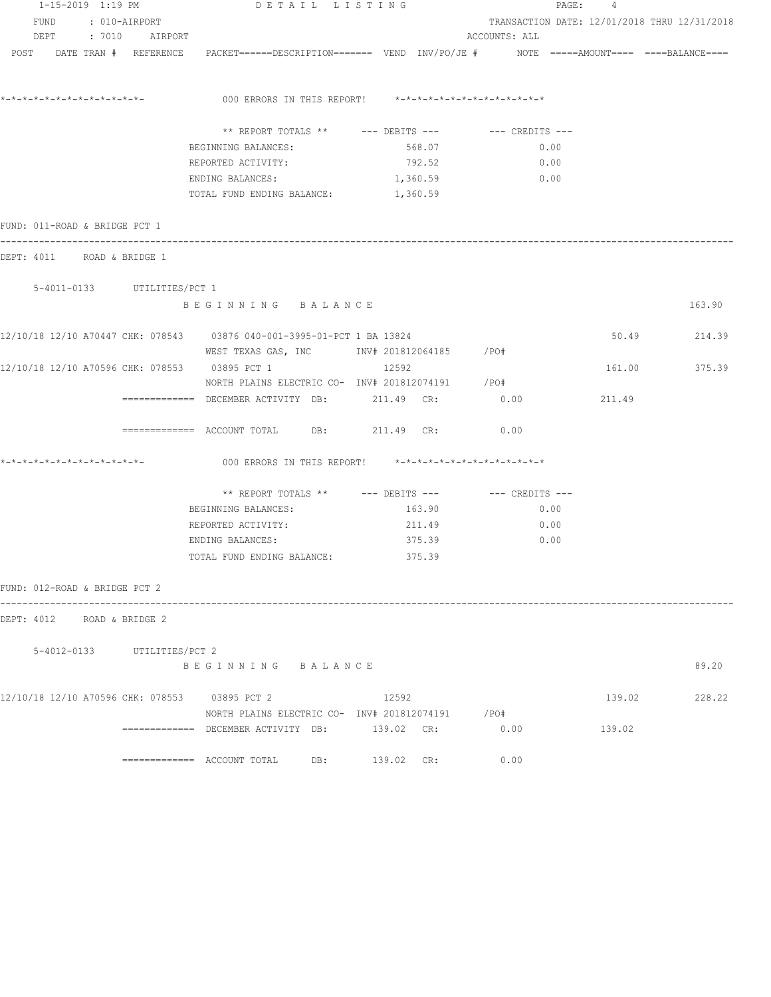| 1-15-2019 1:19 PM                             |                                           | DETAIL LISTING                                                                                                                  |                 | PAGE: 4                                                       |        |               |
|-----------------------------------------------|-------------------------------------------|---------------------------------------------------------------------------------------------------------------------------------|-----------------|---------------------------------------------------------------|--------|---------------|
|                                               | FUND : 010-AIRPORT<br>DEPT : 7010 AIRPORT |                                                                                                                                 |                 | TRANSACTION DATE: 12/01/2018 THRU 12/31/2018<br>ACCOUNTS: ALL |        |               |
|                                               |                                           | POST DATE TRAN # REFERENCE PACKET======DESCRIPTION======= VEND INV/PO/JE # NOTE =====AMOUNT==== ===BALANCE====                  |                 |                                                               |        |               |
| *_*_*_*_*_*_*_*_*_*_*_*_*_*_*_                |                                           | 000 ERRORS IN THIS REPORT! *-*-*-*-*-*-*-*-*-*-*-*-*-*-                                                                         |                 |                                                               |        |               |
|                                               |                                           | ** REPORT TOTALS ** $---$ DEBITS --- $---$ CREDITS ---                                                                          |                 |                                                               |        |               |
|                                               |                                           | BEGINNING BALANCES:                                                                                                             | 568.07          | 0.00                                                          |        |               |
|                                               |                                           | REPORTED ACTIVITY:                                                                                                              | 792.52          | 0.00                                                          |        |               |
|                                               |                                           | ENDING BALANCES:                                                                                                                | $1,360.59$ 0.00 |                                                               |        |               |
|                                               |                                           | TOTAL FUND ENDING BALANCE: 1,360.59                                                                                             |                 |                                                               |        |               |
| FUND: 011-ROAD & BRIDGE PCT 1                 |                                           |                                                                                                                                 |                 |                                                               |        |               |
| DEPT: 4011 ROAD & BRIDGE 1                    |                                           |                                                                                                                                 |                 |                                                               |        |               |
|                                               | 5-4011-0133 UTILITIES/PCT 1               |                                                                                                                                 |                 |                                                               |        |               |
|                                               |                                           | BEGINNING BALANCE                                                                                                               |                 |                                                               |        | 163.90        |
|                                               |                                           | 12/10/18 12/10 A70447 CHK: 078543 03876 040-001-3995-01-PCT 1 BA 13824<br>WEST TEXAS GAS, INC        INV# 201812064185     /PO# |                 |                                                               |        | 50.49 214.39  |
| 12/10/18 12/10 A70596 CHK: 078553 03895 PCT 1 |                                           |                                                                                                                                 | 12592           |                                                               |        | 161.00 375.39 |
|                                               |                                           | NORTH PLAINS ELECTRIC CO- INV# 201812074191 / PO#                                                                               |                 |                                                               |        |               |
|                                               |                                           | ============ DECEMBER ACTIVITY DB: 211.49 CR: 0.00                                                                              |                 |                                                               | 211.49 |               |
|                                               |                                           | ============= ACCOUNT TOTAL DB: 211.49 CR:                                                                                      |                 | 0.00                                                          |        |               |
| *_*_*_*_*_*_*_*_*_*_*_*_*_*_*_                |                                           | 000 ERRORS IN THIS REPORT! *-*-*-*-*-*-*-*-*-*-*-*-*-*-                                                                         |                 |                                                               |        |               |
|                                               |                                           | ** REPORT TOTALS ** --- DEBITS --- -- CREDITS ---                                                                               |                 |                                                               |        |               |
|                                               |                                           | BEGINNING BALANCES:                                                                                                             | 163.90          | 0.00                                                          |        |               |
|                                               |                                           | REPORTED ACTIVITY:                                                                                                              | 211.49          | 0.00                                                          |        |               |
|                                               |                                           | ENDING BALANCES:                                                                                                                | 375.39          | $\sim$ 0.00                                                   |        |               |
|                                               |                                           | TOTAL FUND ENDING BALANCE: 375.39                                                                                               |                 |                                                               |        |               |
| FUND: 012-ROAD & BRIDGE PCT 2                 |                                           |                                                                                                                                 |                 |                                                               |        |               |
| DEPT: 4012 ROAD & BRIDGE 2                    |                                           |                                                                                                                                 |                 |                                                               |        |               |
|                                               | 5-4012-0133 UTILITIES/PCT 2               |                                                                                                                                 |                 |                                                               |        |               |
|                                               |                                           | BEGINNING BALANCE                                                                                                               |                 |                                                               |        | 89.20         |
|                                               |                                           | 12/10/18 12/10 A70596 CHK: 078553 03895 PCT 2                                                                                   | 12592           |                                                               |        | 139.02 228.22 |
|                                               |                                           | NORTH PLAINS ELECTRIC CO- INV# 201812074191 / PO#                                                                               |                 |                                                               |        |               |
|                                               |                                           | ============ DECEMBER ACTIVITY DB: 139.02 CR: 0.00                                                                              |                 |                                                               | 139.02 |               |
|                                               |                                           | ============= ACCOUNT TOTAL DB: 139.02 CR:                                                                                      |                 | 0.00                                                          |        |               |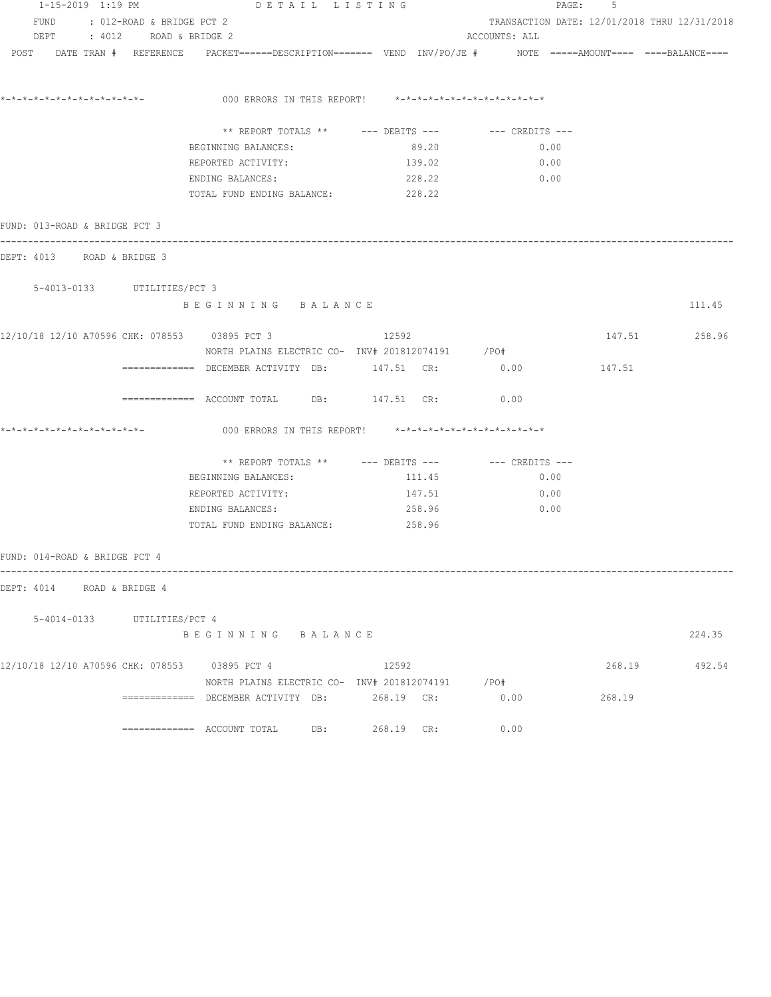|                               | 1-15-2019 1:19 PM<br>DETAIL LISTING |                                                                                                                |                                                             | PAGE: 5       |                                              |               |  |
|-------------------------------|-------------------------------------|----------------------------------------------------------------------------------------------------------------|-------------------------------------------------------------|---------------|----------------------------------------------|---------------|--|
|                               | FUND : 012-ROAD & BRIDGE PCT 2      |                                                                                                                |                                                             |               | TRANSACTION DATE: 12/01/2018 THRU 12/31/2018 |               |  |
|                               | DEPT : 4012 ROAD & BRIDGE 2         |                                                                                                                |                                                             | ACCOUNTS: ALL |                                              |               |  |
|                               |                                     | POST DATE TRAN # REFERENCE PACKET======DESCRIPTION======= VEND INV/PO/JE # NOTE =====AMOUNT==== ===BALANCE==== |                                                             |               |                                              |               |  |
|                               |                                     |                                                                                                                | 000 ERRORS IN THIS REPORT! *-*-*-*-*-*-*-*-*-*-*-*-*-*-*-   |               |                                              |               |  |
|                               |                                     |                                                                                                                |                                                             |               |                                              |               |  |
|                               |                                     |                                                                                                                | ** REPORT TOTALS ** --- DEBITS --- -- -- CREDITS ---        |               |                                              |               |  |
|                               |                                     | BEGINNING BALANCES:                                                                                            | 89.20                                                       | 0.00          |                                              |               |  |
|                               |                                     | REPORTED ACTIVITY:                                                                                             | 139.02                                                      | 0.00          |                                              |               |  |
|                               |                                     | ENDING BALANCES:<br>TOTAL FUND ENDING BALANCE: 228.22                                                          | 228.22                                                      | 0.00          |                                              |               |  |
| FUND: 013-ROAD & BRIDGE PCT 3 |                                     |                                                                                                                |                                                             |               |                                              |               |  |
| DEPT: 4013 ROAD & BRIDGE 3    |                                     |                                                                                                                |                                                             |               |                                              |               |  |
|                               | 5-4013-0133 UTILITIES/PCT 3         |                                                                                                                |                                                             |               |                                              |               |  |
|                               |                                     | BEGINNING BALANCE                                                                                              |                                                             |               |                                              | 111.45        |  |
|                               |                                     | 12/10/18 12/10 A70596 CHK: 078553 03895 PCT 3                                                                  | 12592                                                       |               |                                              | 147.51 258.96 |  |
|                               |                                     | NORTH PLAINS ELECTRIC CO- INV# 201812074191 / PO#                                                              |                                                             |               |                                              |               |  |
|                               |                                     | ============ DECEMBER ACTIVITY DB: 147.51 CR: 0.00                                                             |                                                             |               | 147.51                                       |               |  |
|                               |                                     | ============ ACCOUNT TOTAL DB: 147.51 CR: 0.00                                                                 |                                                             |               |                                              |               |  |
|                               |                                     |                                                                                                                | 000 ERRORS IN THIS REPORT! $*-*-*-*-*-*-*-*-*-*-*-*-*-*-**$ |               |                                              |               |  |
|                               |                                     |                                                                                                                | ** REPORT TOTALS ** $---$ DEBITS --- $---$ CREDITS ---      |               |                                              |               |  |
|                               |                                     | BEGINNING BALANCES:                                                                                            | 111.45                                                      | 0.00          |                                              |               |  |
|                               |                                     | REPORTED ACTIVITY:                                                                                             | 147.51                                                      | 0.00          |                                              |               |  |
|                               |                                     | ENDING BALANCES:                                                                                               | 258.96                                                      | 0.00          |                                              |               |  |
|                               |                                     | TOTAL FUND ENDING BALANCE: 258.96                                                                              |                                                             |               |                                              |               |  |
| FUND: 014-ROAD & BRIDGE PCT 4 |                                     |                                                                                                                |                                                             |               |                                              |               |  |
| DEPT: 4014 ROAD & BRIDGE 4    |                                     |                                                                                                                |                                                             |               |                                              |               |  |
|                               | 5-4014-0133 UTILITIES/PCT 4         |                                                                                                                |                                                             |               |                                              |               |  |
|                               |                                     | BEGINNING BALANCE                                                                                              |                                                             |               |                                              | 224.35        |  |
|                               |                                     | 12/10/18 12/10 A70596 CHK: 078553 03895 PCT 4                                                                  | 12592                                                       |               | 268.19                                       | 492.54        |  |
|                               |                                     |                                                                                                                | NORTH PLAINS ELECTRIC CO- INV# 201812074191 / PO#           |               |                                              |               |  |
|                               |                                     |                                                                                                                |                                                             | 0.00          | 268.19                                       |               |  |
|                               |                                     |                                                                                                                | 268.19 CR:                                                  | 0.00          |                                              |               |  |